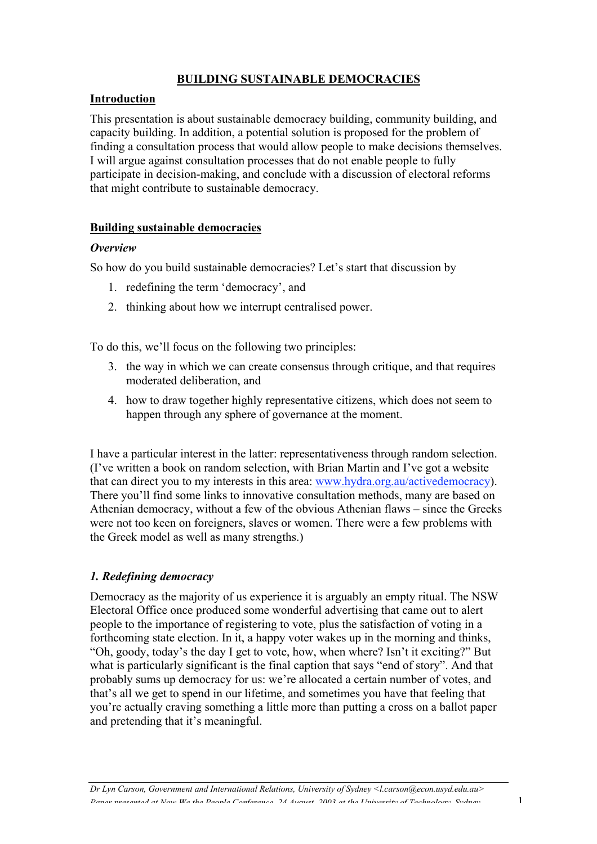# BUILDING SUSTAINABLE DEMOCRACIES

# Introduction

This presentation is about sustainable democracy building, community building, and capacity building. In addition, a potential solution is proposed for the problem of finding a consultation process that would allow people to make decisions themselves. I will argue against consultation processes that do not enable people to fully participate in decision-making, and conclude with a discussion of electoral reforms that might contribute to sustainable democracy.

# Building sustainable democracies

## *Overview*

So how do you build sustainable democracies? Let's start that discussion by

- 1. redefining the term 'democracy', and
- 2. thinking about how we interrupt centralised power.

To do this, we'll focus on the following two principles:

- 3. the way in which we can create consensus through critique, and that requires moderated deliberation, and
- 4. how to draw together highly representative citizens, which does not seem to happen through any sphere of governance at the moment.

I have a particular interest in the latter: representativeness through random selection. (I've written a book on random selection, with Brian Martin and I've got a website that can direct you to my interests in this area: www.hydra.org.au/activedemocracy). There you'll find some links to innovative consultation methods, many are based on Athenian democracy, without a few of the obvious Athenian flaws – since the Greeks were not too keen on foreigners, slaves or women. There were a few problems with the Greek model as well as many strengths.)

# *1. Redefining democracy*

Democracy as the majority of us experience it is arguably an empty ritual. The NSW Electoral Office once produced some wonderful advertising that came out to alert people to the importance of registering to vote, plus the satisfaction of voting in a forthcoming state election. In it, a happy voter wakes up in the morning and thinks, "Oh, goody, today's the day I get to vote, how, when where? Isn't it exciting?" But what is particularly significant is the final caption that says "end of story". And that probably sums up democracy for us: we're allocated a certain number of votes, and that's all we get to spend in our lifetime, and sometimes you have that feeling that you're actually craving something a little more than putting a cross on a ballot paper and pretending that it's meaningful.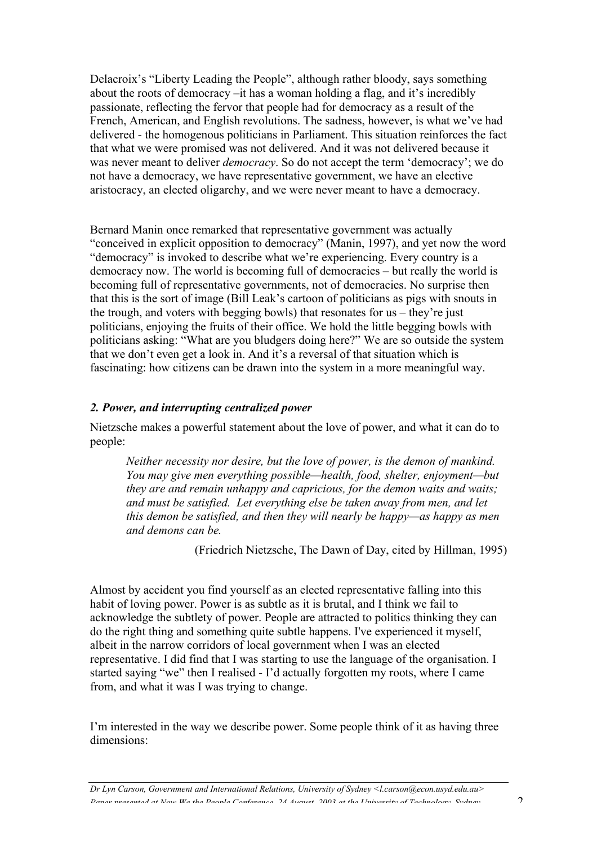Delacroix's "Liberty Leading the People", although rather bloody, says something about the roots of democracy –it has a woman holding a flag, and it's incredibly passionate, reflecting the fervor that people had for democracy as a result of the French, American, and English revolutions. The sadness, however, is what we've had delivered - the homogenous politicians in Parliament. This situation reinforces the fact that what we were promised was not delivered. And it was not delivered because it was never meant to deliver *democracy*. So do not accept the term 'democracy'; we do not have a democracy, we have representative government, we have an elective aristocracy, an elected oligarchy, and we were never meant to have a democracy.

Bernard Manin once remarked that representative government was actually "conceived in explicit opposition to democracy" (Manin, 1997), and yet now the word "democracy" is invoked to describe what we're experiencing. Every country is a democracy now. The world is becoming full of democracies – but really the world is becoming full of representative governments, not of democracies. No surprise then that this is the sort of image (Bill Leak's cartoon of politicians as pigs with snouts in the trough, and voters with begging bowls) that resonates for us – they're just politicians, enjoying the fruits of their office. We hold the little begging bowls with politicians asking: "What are you bludgers doing here?" We are so outside the system that we don't even get a look in. And it's a reversal of that situation which is fascinating: how citizens can be drawn into the system in a more meaningful way.

## *2. Power, and interrupting centralized power*

Nietzsche makes a powerful statement about the love of power, and what it can do to people:

*Neither necessity nor desire, but the love of power, is the demon of mankind. You may give men everything possible—health, food, shelter, enjoyment—but they are and remain unhappy and capricious, for the demon waits and waits; and must be satisfied. Let everything else be taken away from men, and let this demon be satisfied, and then they will nearly be happy—as happy as men and demons can be.*

(Friedrich Nietzsche, The Dawn of Day, cited by Hillman, 1995)

Almost by accident you find yourself as an elected representative falling into this habit of loving power. Power is as subtle as it is brutal, and I think we fail to acknowledge the subtlety of power. People are attracted to politics thinking they can do the right thing and something quite subtle happens. I've experienced it myself, albeit in the narrow corridors of local government when I was an elected representative. I did find that I was starting to use the language of the organisation. I started saying "we" then I realised - I'd actually forgotten my roots, where I came from, and what it was I was trying to change.

I'm interested in the way we describe power. Some people think of it as having three dimensions:

*Dr Lyn Carson, Government and International Relations, University of Sydney <l.carson@econ.usyd.edu.au> Paper presented at Now We the People Conference, 24 August, 2003 at the University of Technology, Sydney* 2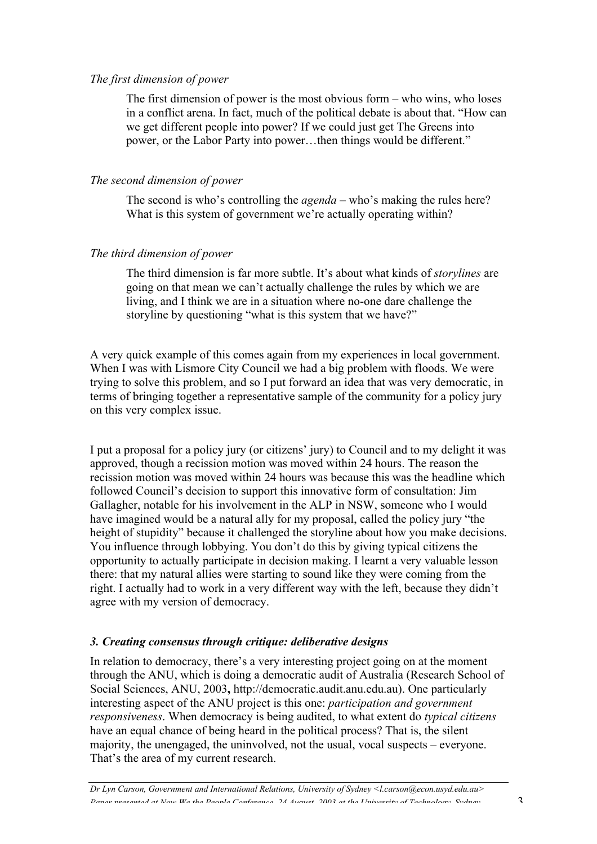### *The first dimension of power*

The first dimension of power is the most obvious form – who wins, who loses in a conflict arena. In fact, much of the political debate is about that. "How can we get different people into power? If we could just get The Greens into power, or the Labor Party into power…then things would be different."

### *The second dimension of power*

The second is who's controlling the *agenda* – who's making the rules here? What is this system of government we're actually operating within?

### *The third dimension of power*

The third dimension is far more subtle. It's about what kinds of *storylines* are going on that mean we can't actually challenge the rules by which we are living, and I think we are in a situation where no-one dare challenge the storyline by questioning "what is this system that we have?"

A very quick example of this comes again from my experiences in local government. When I was with Lismore City Council we had a big problem with floods. We were trying to solve this problem, and so I put forward an idea that was very democratic, in terms of bringing together a representative sample of the community for a policy jury on this very complex issue.

I put a proposal for a policy jury (or citizens' jury) to Council and to my delight it was approved, though a recission motion was moved within 24 hours. The reason the recission motion was moved within 24 hours was because this was the headline which followed Council's decision to support this innovative form of consultation: Jim Gallagher, notable for his involvement in the ALP in NSW, someone who I would have imagined would be a natural ally for my proposal, called the policy jury "the height of stupidity" because it challenged the storyline about how you make decisions. You influence through lobbying. You don't do this by giving typical citizens the opportunity to actually participate in decision making. I learnt a very valuable lesson there: that my natural allies were starting to sound like they were coming from the right. I actually had to work in a very different way with the left, because they didn't agree with my version of democracy.

## *3. Creating consensus through critique: deliberative designs*

In relation to democracy, there's a very interesting project going on at the moment through the ANU, which is doing a democratic audit of Australia (Research School of Social Sciences, ANU, 2003, http://democratic.audit.anu.edu.au). One particularly interesting aspect of the ANU project is this one: *participation and government responsiveness*. When democracy is being audited, to what extent do *typical citizens* have an equal chance of being heard in the political process? That is, the silent majority, the unengaged, the uninvolved, not the usual, vocal suspects – everyone. That's the area of my current research.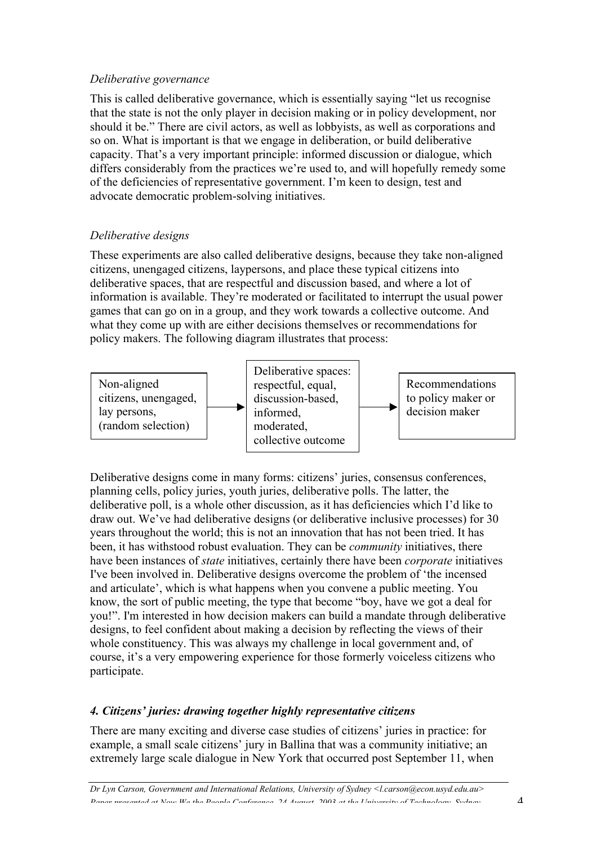## *Deliberative governance*

This is called deliberative governance, which is essentially saying "let us recognise that the state is not the only player in decision making or in policy development, nor should it be." There are civil actors, as well as lobbyists, as well as corporations and so on. What is important is that we engage in deliberation, or build deliberative capacity. That's a very important principle: informed discussion or dialogue, which differs considerably from the practices we're used to, and will hopefully remedy some of the deficiencies of representative government. I'm keen to design, test and advocate democratic problem-solving initiatives.

# *Deliberative designs*

These experiments are also called deliberative designs, because they take non-aligned citizens, unengaged citizens, laypersons, and place these typical citizens into deliberative spaces, that are respectful and discussion based, and where a lot of information is available. They're moderated or facilitated to interrupt the usual power games that can go on in a group, and they work towards a collective outcome. And what they come up with are either decisions themselves or recommendations for policy makers. The following diagram illustrates that process:



Deliberative designs come in many forms: citizens' juries, consensus conferences, planning cells, policy juries, youth juries, deliberative polls. The latter, the deliberative poll, is a whole other discussion, as it has deficiencies which I'd like to draw out. We've had deliberative designs (or deliberative inclusive processes) for 30 years throughout the world; this is not an innovation that has not been tried. It has been, it has withstood robust evaluation. They can be *community* initiatives, there have been instances of *state* initiatives, certainly there have been *corporate* initiatives I've been involved in. Deliberative designs overcome the problem of 'the incensed and articulate', which is what happens when you convene a public meeting. You know, the sort of public meeting, the type that become "boy, have we got a deal for you!". I'm interested in how decision makers can build a mandate through deliberative designs, to feel confident about making a decision by reflecting the views of their whole constituency. This was always my challenge in local government and, of course, it's a very empowering experience for those formerly voiceless citizens who participate.

## *4. Citizens' juries: drawing together highly representative citizens*

There are many exciting and diverse case studies of citizens' juries in practice: for example, a small scale citizens' jury in Ballina that was a community initiative; an extremely large scale dialogue in New York that occurred post September 11, when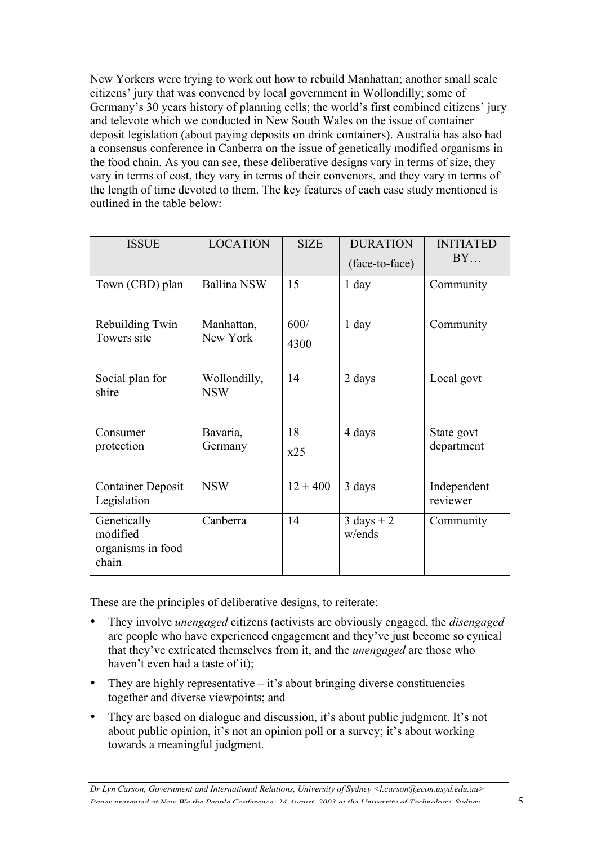New Yorkers were trying to work out how to rebuild Manhattan; another small scale citizens' jury that was convened by local government in Wollondilly; some of Germany's 30 years history of planning cells; the world's first combined citizens' jury and televote which we conducted in New South Wales on the issue of container deposit legislation (about paying deposits on drink containers). Australia has also had a consensus conference in Canberra on the issue of genetically modified organisms in the food chain. As you can see, these deliberative designs vary in terms of size, they vary in terms of cost, they vary in terms of their convenors, and they vary in terms of the length of time devoted to them. The key features of each case study mentioned is outlined in the table below:

| <b>ISSUE</b>                                          | <b>LOCATION</b>            | <b>SIZE</b>  | <b>DURATION</b><br>(face-to-face) | <b>INITIATED</b><br>BY   |
|-------------------------------------------------------|----------------------------|--------------|-----------------------------------|--------------------------|
| Town (CBD) plan                                       | <b>Ballina NSW</b>         | 15           | $1$ day                           | Community                |
| Rebuilding Twin<br>Towers site                        | Manhattan,<br>New York     | 600/<br>4300 | $1$ day                           | Community                |
| Social plan for<br>shire                              | Wollondilly,<br><b>NSW</b> | 14           | 2 days                            | Local govt               |
| Consumer<br>protection                                | Bavaria,<br>Germany        | 18<br>x25    | 4 days                            | State govt<br>department |
| <b>Container Deposit</b><br>Legislation               | <b>NSW</b>                 | $12 + 400$   | 3 days                            | Independent<br>reviewer  |
| Genetically<br>modified<br>organisms in food<br>chain | Canberra                   | 14           | $3 \text{ days} + 2$<br>w/ends    | Community                |

These are the principles of deliberative designs, to reiterate:

- They involve *unengaged* citizens (activists are obviously engaged, the *disengaged* are people who have experienced engagement and they've just become so cynical that they've extricated themselves from it, and the *unengaged* are those who haven't even had a taste of it);
- They are highly representative  $-$  it's about bringing diverse constituencies together and diverse viewpoints; and
- They are based on dialogue and discussion, it's about public judgment. It's not about public opinion, it's not an opinion poll or a survey; it's about working towards a meaningful judgment.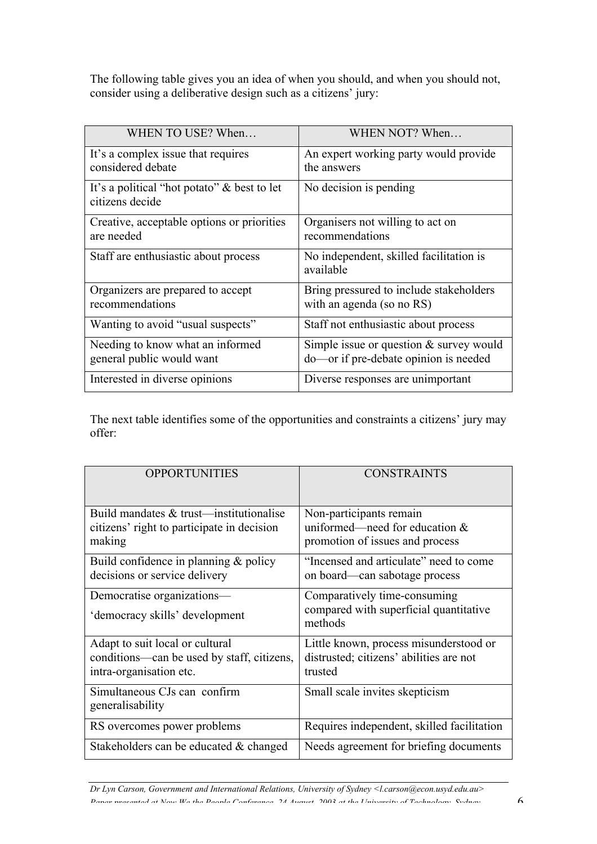The following table gives you an idea of when you should, and when you should not, consider using a deliberative design such as a citizens' jury:

| WHEN TO USE? When                                                 | WHEN NOT? When                                                                     |  |
|-------------------------------------------------------------------|------------------------------------------------------------------------------------|--|
| It's a complex issue that requires<br>considered debate           | An expert working party would provide<br>the answers                               |  |
| It's a political "hot potato" $\&$ best to let<br>citizens decide | No decision is pending                                                             |  |
| Creative, acceptable options or priorities<br>are needed          | Organisers not willing to act on<br>recommendations                                |  |
| Staff are enthusiastic about process                              | No independent, skilled facilitation is<br>available                               |  |
| Organizers are prepared to accept<br>recommendations              | Bring pressured to include stakeholders<br>with an agenda (so no RS)               |  |
| Wanting to avoid "usual suspects"                                 | Staff not enthusiastic about process                                               |  |
| Needing to know what an informed<br>general public would want     | Simple issue or question $&$ survey would<br>do-or if pre-debate opinion is needed |  |
| Interested in diverse opinions                                    | Diverse responses are unimportant                                                  |  |

The next table identifies some of the opportunities and constraints a citizens' jury may offer:

| <b>OPPORTUNITIES</b>                                                                                     | <b>CONSTRAINTS</b>                                                                             |  |
|----------------------------------------------------------------------------------------------------------|------------------------------------------------------------------------------------------------|--|
| Build mandates $\&$ trust—institutionalise<br>citizens' right to participate in decision<br>making       | Non-participants remain<br>uniformed—need for education $&$<br>promotion of issues and process |  |
| Build confidence in planning $&$ policy<br>decisions or service delivery                                 | "Incensed and articulate" need to come<br>on board—can sabotage process                        |  |
| Democratise organizations—<br>'democracy skills' development                                             | Comparatively time-consuming<br>compared with superficial quantitative<br>methods              |  |
| Adapt to suit local or cultural<br>conditions—can be used by staff, citizens,<br>intra-organisation etc. | Little known, process misunderstood or<br>distrusted; citizens' abilities are not<br>trusted   |  |
| Simultaneous CJs can confirm<br>generalisability                                                         | Small scale invites skepticism                                                                 |  |
| RS overcomes power problems                                                                              | Requires independent, skilled facilitation                                                     |  |
| Stakeholders can be educated & changed                                                                   | Needs agreement for briefing documents                                                         |  |

*Dr Lyn Carson, Government and International Relations, University of Sydney <l.carson@econ.usyd.edu.au> Paper presented at Now We the People Conference, 24 August, 2003 at the University of Technology, Sydney* 6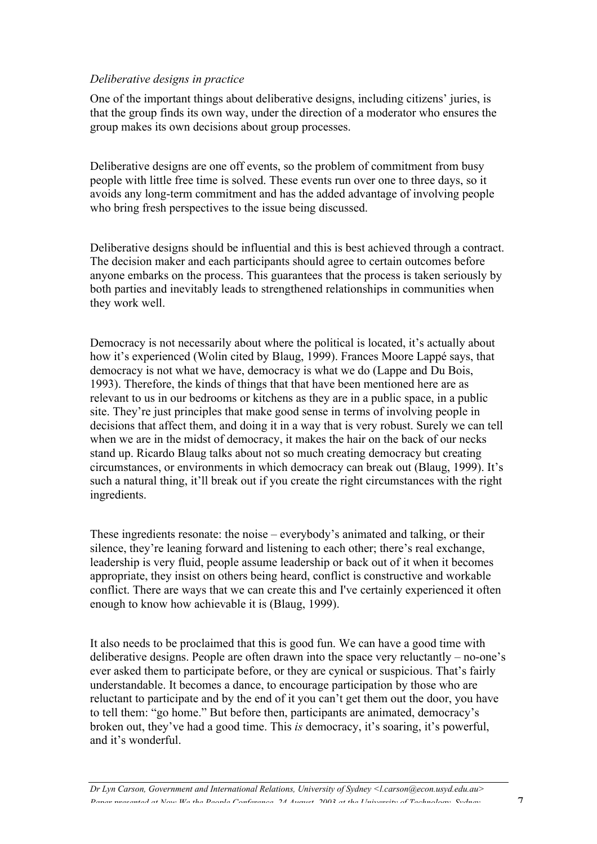### *Deliberative designs in practice*

One of the important things about deliberative designs, including citizens' juries, is that the group finds its own way, under the direction of a moderator who ensures the group makes its own decisions about group processes.

Deliberative designs are one off events, so the problem of commitment from busy people with little free time is solved. These events run over one to three days, so it avoids any long-term commitment and has the added advantage of involving people who bring fresh perspectives to the issue being discussed.

Deliberative designs should be influential and this is best achieved through a contract. The decision maker and each participants should agree to certain outcomes before anyone embarks on the process. This guarantees that the process is taken seriously by both parties and inevitably leads to strengthened relationships in communities when they work well.

Democracy is not necessarily about where the political is located, it's actually about how it's experienced (Wolin cited by Blaug, 1999). Frances Moore Lappé says, that democracy is not what we have, democracy is what we do (Lappe and Du Bois, 1993). Therefore, the kinds of things that that have been mentioned here are as relevant to us in our bedrooms or kitchens as they are in a public space, in a public site. They're just principles that make good sense in terms of involving people in decisions that affect them, and doing it in a way that is very robust. Surely we can tell when we are in the midst of democracy, it makes the hair on the back of our necks stand up. Ricardo Blaug talks about not so much creating democracy but creating circumstances, or environments in which democracy can break out (Blaug, 1999). It's such a natural thing, it'll break out if you create the right circumstances with the right ingredients.

These ingredients resonate: the noise – everybody's animated and talking, or their silence, they're leaning forward and listening to each other; there's real exchange, leadership is very fluid, people assume leadership or back out of it when it becomes appropriate, they insist on others being heard, conflict is constructive and workable conflict. There are ways that we can create this and I've certainly experienced it often enough to know how achievable it is (Blaug, 1999).

It also needs to be proclaimed that this is good fun. We can have a good time with deliberative designs. People are often drawn into the space very reluctantly – no-one's ever asked them to participate before, or they are cynical or suspicious. That's fairly understandable. It becomes a dance, to encourage participation by those who are reluctant to participate and by the end of it you can't get them out the door, you have to tell them: "go home." But before then, participants are animated, democracy's broken out, they've had a good time. This *is* democracy, it's soaring, it's powerful, and it's wonderful.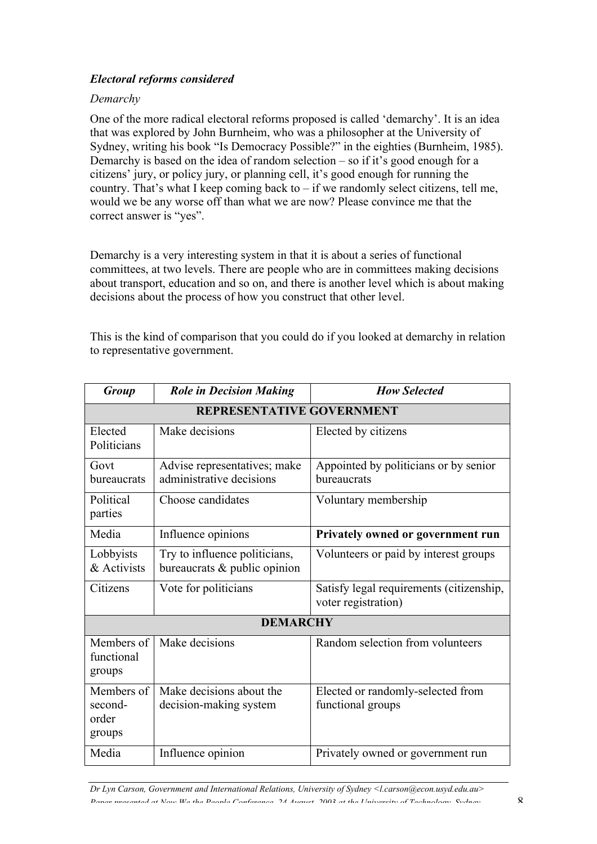# *Electoral reforms considered*

## *Demarchy*

One of the more radical electoral reforms proposed is called 'demarchy'. It is an idea that was explored by John Burnheim, who was a philosopher at the University of Sydney, writing his book "Is Democracy Possible?" in the eighties (Burnheim, 1985). Demarchy is based on the idea of random selection – so if it's good enough for a citizens' jury, or policy jury, or planning cell, it's good enough for running the country. That's what I keep coming back to  $-$  if we randomly select citizens, tell me, would we be any worse off than what we are now? Please convince me that the correct answer is "yes".

Demarchy is a very interesting system in that it is about a series of functional committees, at two levels. There are people who are in committees making decisions about transport, education and so on, and there is another level which is about making decisions about the process of how you construct that other level.

This is the kind of comparison that you could do if you looked at demarchy in relation to representative government.

| <b>Group</b>                             | <b>Role in Decision Making</b>                                | <b>How Selected</b>                                             |  |  |
|------------------------------------------|---------------------------------------------------------------|-----------------------------------------------------------------|--|--|
| <b>REPRESENTATIVE GOVERNMENT</b>         |                                                               |                                                                 |  |  |
| Elected<br>Politicians                   | Make decisions                                                | Elected by citizens                                             |  |  |
| Govt<br>bureaucrats                      | Advise representatives; make<br>administrative decisions      | Appointed by politicians or by senior<br>bureaucrats            |  |  |
| Political<br>parties                     | Choose candidates                                             | Voluntary membership                                            |  |  |
| Media                                    | Influence opinions                                            | Privately owned or government run                               |  |  |
| Lobbyists<br>& Activists                 | Try to influence politicians,<br>bureaucrats & public opinion | Volunteers or paid by interest groups                           |  |  |
| Citizens                                 | Vote for politicians                                          | Satisfy legal requirements (citizenship,<br>voter registration) |  |  |
| <b>DEMARCHY</b>                          |                                                               |                                                                 |  |  |
| Members of<br>functional<br>groups       | Make decisions                                                | Random selection from volunteers                                |  |  |
| Members of<br>second-<br>order<br>groups | Make decisions about the<br>decision-making system            | Elected or randomly-selected from<br>functional groups          |  |  |
| Media                                    | Influence opinion                                             | Privately owned or government run                               |  |  |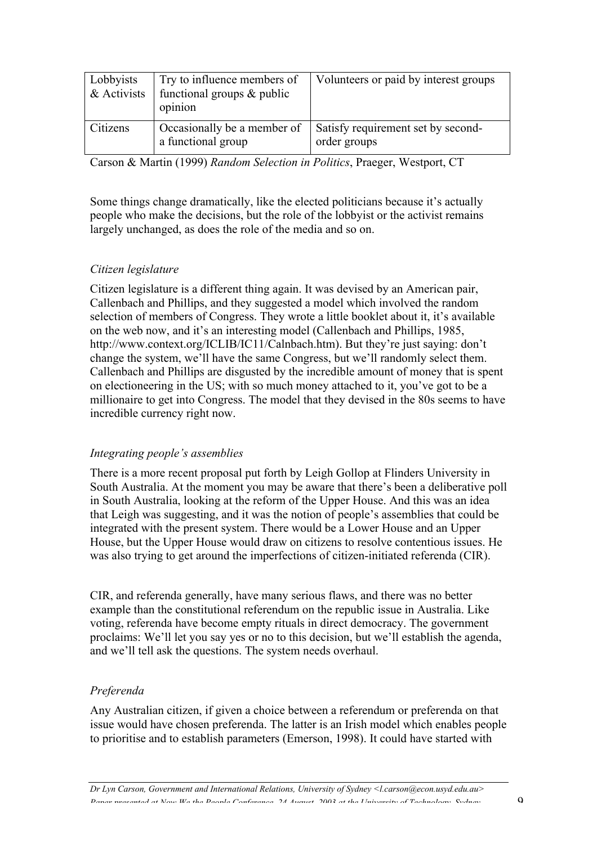| Lobbyists<br>$\&$ Activists | Try to influence members of<br>functional groups $&$ public<br>opinion | Volunteers or paid by interest groups              |
|-----------------------------|------------------------------------------------------------------------|----------------------------------------------------|
| Citizens                    | Occasionally be a member of<br>a functional group                      | Satisfy requirement set by second-<br>order groups |

Carson & Martin (1999) *Random Selection in Politics*, Praeger, Westport, CT

Some things change dramatically, like the elected politicians because it's actually people who make the decisions, but the role of the lobbyist or the activist remains largely unchanged, as does the role of the media and so on.

## *Citizen legislature*

Citizen legislature is a different thing again. It was devised by an American pair, Callenbach and Phillips, and they suggested a model which involved the random selection of members of Congress. They wrote a little booklet about it, it's available on the web now, and it's an interesting model (Callenbach and Phillips, 1985, http://www.context.org/ICLIB/IC11/Calnbach.htm). But they're just saying: don't change the system, we'll have the same Congress, but we'll randomly select them. Callenbach and Phillips are disgusted by the incredible amount of money that is spent on electioneering in the US; with so much money attached to it, you've got to be a millionaire to get into Congress. The model that they devised in the 80s seems to have incredible currency right now.

#### *Integrating people's assemblies*

There is a more recent proposal put forth by Leigh Gollop at Flinders University in South Australia. At the moment you may be aware that there's been a deliberative poll in South Australia, looking at the reform of the Upper House. And this was an idea that Leigh was suggesting, and it was the notion of people's assemblies that could be integrated with the present system. There would be a Lower House and an Upper House, but the Upper House would draw on citizens to resolve contentious issues. He was also trying to get around the imperfections of citizen-initiated referenda (CIR).

CIR, and referenda generally, have many serious flaws, and there was no better example than the constitutional referendum on the republic issue in Australia. Like voting, referenda have become empty rituals in direct democracy. The government proclaims: We'll let you say yes or no to this decision, but we'll establish the agenda, and we'll tell ask the questions. The system needs overhaul.

#### *Preferenda*

Any Australian citizen, if given a choice between a referendum or preferenda on that issue would have chosen preferenda. The latter is an Irish model which enables people to prioritise and to establish parameters (Emerson, 1998). It could have started with